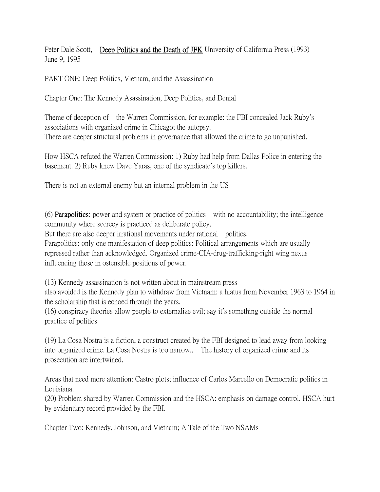Peter Dale Scott, Deep Politics and the Death of JFK University of California Press (1993) June 9, 1995

PART ONE: Deep Politics, Vietnam, and the Assassination

Chapter One: The Kennedy Asassination, Deep Politics, and Denial

Theme of deception of the Warren Commission, for example: the FBI concealed Jack Ruby's associations with organized crime in Chicago; the autopsy. There are deeper structural problems in governance that allowed the crime to go unpunished.

How HSCA refuted the Warren Commission: 1) Ruby had help from Dallas Police in entering the basement. 2) Ruby knew Dave Yaras, one of the syndicate's top killers.

There is not an external enemy but an internal problem in the US

(6) Parapolitics: power and system or practice of politics with no accountability; the intelligence community where secrecy is practiced as deliberate policy.

But there are also deeper irrational movements under rational politics.

Parapolitics: only one manifestation of deep politics: Political arrangements which are usually repressed rather than acknowledged. Organized crime-CIA-drug-trafficking-right wing nexus influencing those in ostensible positions of power.

(13) Kennedy assassination is not written about in mainstream press

also avoided is the Kennedy plan to withdraw from Vietnam: a hiatus from November 1963 to 1964 in the scholarship that is echoed through the years.

(16) conspiracy theories allow people to externalize evil; say it's something outside the normal practice of politics

(19) La Cosa Nostra is a fiction, a construct created by the FBI designed to lead away from looking into organized crime. La Cosa Nostra is too narrow.. The history of organized crime and its prosecution are intertwined.

Areas that need more attention: Castro plots; influence of Carlos Marcello on Democratic politics in Louisiana.

(20) Problem shared by Warren Commission and the HSCA: emphasis on damage control. HSCA hurt by evidentiary record provided by the FBI.

Chapter Two: Kennedy, Johnson, and Vietnam; A Tale of the Two NSAMs